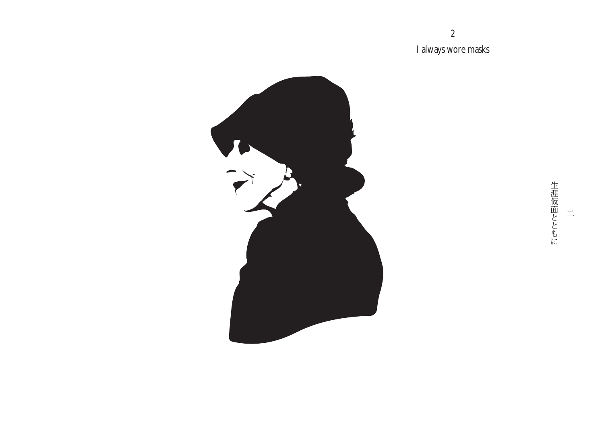I always wore masks

2



生涯仮面とともに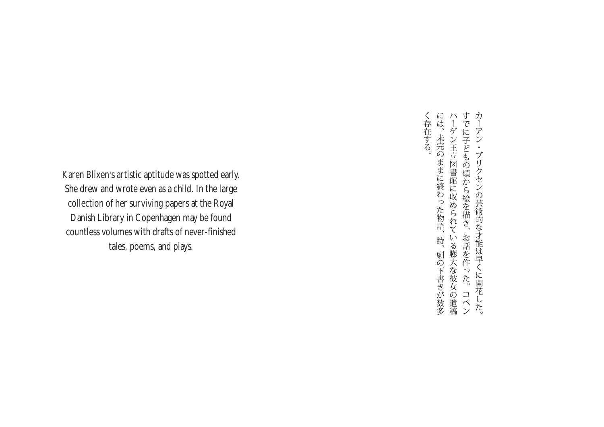Karen Blixen's artistic aptitude was spotted early. She drew and wrote even as a child. In the large collection of her surviving papers at the Royal Danish Library in Copenhagen may be found countless volumes with drafts of never-finished tales, poems, and plays.

には、未完のままに終わった物語、詩、劇の下書きが数多ハーゲン王立図書館に収められている膨大な彼女の遺稿すでに子どもの頃から絵を描き、お話を作った。コペン カーアン・ブリクセンの芸術的な才能は早くに開花した。 く存在する。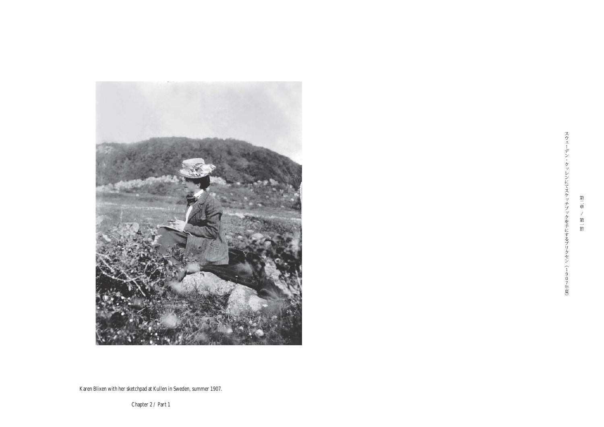

スウェ デン・クッレンにてスケッチブックを手にするブリ くセン(1)  $_{0}^{9}$ 7年夏

第二章 / 第一節

Karen Blixen with her sketchpad at Kullen in Sweden, summer 1907.

Chapter 2 / Part 1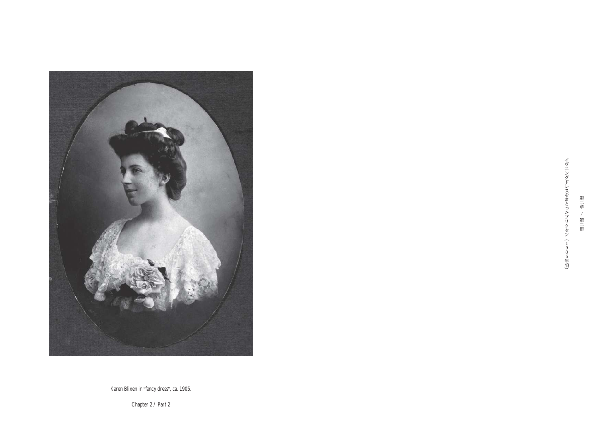

第二章 / 第二節

Karen Blixen in "fancy dress", ca. 1905.

Chapter 2 / Part 2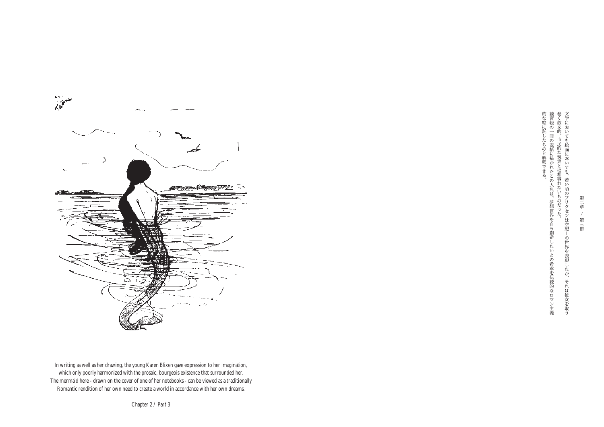

第二章  $\angle$ 第三節

In writing as well as her drawing, the young Karen Blixen gave expression to her imagination, which only poorly harmonized with the prosaic, bourgeois existence that surrounded her. The mermaid here - drawn on the cover of one of her notebooks - can be viewed as a traditionally Romantic rendition of her own need to create a world in accordance with her own dreams.